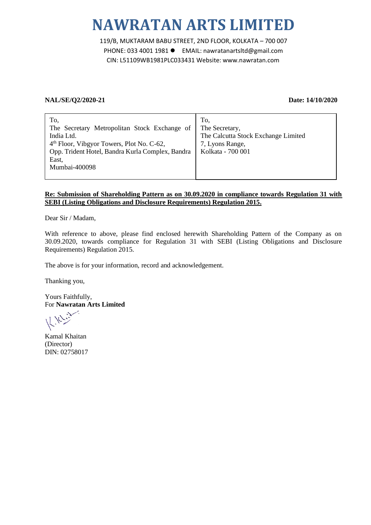# **NAWRATAN ARTS LIMITED**

119/B, MUKTARAM BABU STREET, 2ND FLOOR, KOLKATA – 700 007 PHONE: 033 4001 1981 ● EMAIL: nawratanartsltd@gmail.com CIN: L51109WB1981PLC033431 Website: www.nawratan.com

## **NAL/SE/Q2/2020-21 Date: 14/10/2020**

| To.<br>The Secretary Metropolitan Stock Exchange of<br>India Ltd.<br>4 <sup>th</sup> Floor, Vibgyor Towers, Plot No. C-62,<br>Opp. Trident Hotel, Bandra Kurla Complex, Bandra<br>East,<br>Mumbai-400098 | To.<br>The Secretary,<br>The Calcutta Stock Exchange Limited<br>7, Lyons Range,<br>Kolkata - 700 001 |
|----------------------------------------------------------------------------------------------------------------------------------------------------------------------------------------------------------|------------------------------------------------------------------------------------------------------|
|                                                                                                                                                                                                          |                                                                                                      |

# **Re: Submission of Shareholding Pattern as on 30.09.2020 in compliance towards Regulation 31 with SEBI (Listing Obligations and Disclosure Requirements) Regulation 2015.**

Dear Sir / Madam,

With reference to above, please find enclosed herewith Shareholding Pattern of the Company as on 30.09.2020, towards compliance for Regulation 31 with SEBI (Listing Obligations and Disclosure Requirements) Regulation 2015.

The above is for your information, record and acknowledgement.

Thanking you,

Yours Faithfully, For **Nawratan Arts Limited**

Kamal Khaitan (Director) DIN: 02758017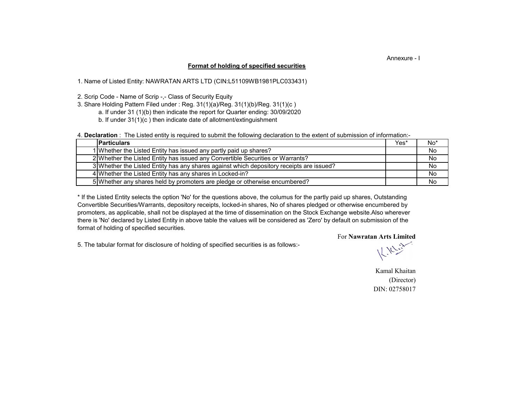### Annexure - I

#### **Format of holding of specified securities**

1. Name of Listed Entity: NAWRATAN ARTS LTD (CIN:L51109WB1981PLC033431)

2. Scrip Code - Name of Scrip -,- Class of Security Equity

3. Share Holding Pattern Filed under : Reg. 31(1)(a)/Reg. 31(1)(b)/Reg. 31(1)(c )

a. If under 31 (1)(b) then indicate the report for Quarter ending: 30/09/2020

b. If under 31(1)(c ) then indicate date of allotment/extinguishment

4. **Declaration** : The Listed entity is required to submit the following declaration to the extent of submission of information:-

| <b>Particulars</b>                                                                       | Yes* | $No*$ |
|------------------------------------------------------------------------------------------|------|-------|
| 1 Whether the Listed Entity has issued any partly paid up shares?                        |      | No    |
| 2 Whether the Listed Entity has issued any Convertible Securities or Warrants?           |      | No    |
| 3 Whether the Listed Entity has any shares against which depository receipts are issued? |      | No    |
| 4 Whether the Listed Entity has any shares in Locked-in?                                 |      | No    |
| 5 Whether any shares held by promoters are pledge or otherwise encumbered?               |      | No    |

there is 'No' declared by Listed Entity in above table the values will be considered as 'Zero' by default on submission of the format of holding of specified securities. \* If the Listed Entity selects the option 'No' for the questions above, the columus for the partly paid up shares, Outstanding Convertible Securities/Warrants, depository receipts, locked-in shares, No of shares pledged or otherwise encumbered by promoters, as applicable, shall not be displayed at the time of dissemination on the Stock Exchange website.Also wherever

For **Nawratan Arts Limited**

5. The tabular format for disclosure of holding of specified securities is as follows:-

Kamal Khaitan (Director) DIN: 02758017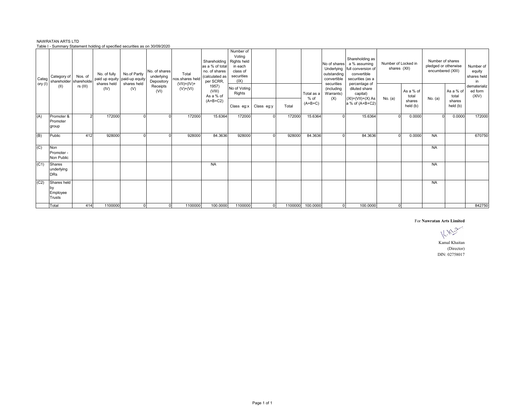|     | Categ   | Category of<br>shareholder                     | Nos. of<br>sharehold | No. of fully<br>shares held | No.of Partly<br>paid up equity paid-up equity<br>shares held | No. of shares<br>underlying<br>Depository | Total<br>nos.shares held    | Shareholding<br>as a % of total<br>no, of shares<br>(calculated as<br>per SCRR, | Number of<br>Votina<br>Rights held<br>in each<br>class of<br>securities<br>(IX) |                |         |                    | No of shares<br>Underlying<br>outstanding<br>convertible<br>securities | Shareholding as<br>a % assuming<br>full conversion of<br>convertible<br>securities (as a | Number of Locked in<br>shares (XII) |                              | Number of shares<br>pledged or otherwise<br>encumbered (XIII) |                              | Number of<br>equity<br>shares held<br>in |
|-----|---------|------------------------------------------------|----------------------|-----------------------------|--------------------------------------------------------------|-------------------------------------------|-----------------------------|---------------------------------------------------------------------------------|---------------------------------------------------------------------------------|----------------|---------|--------------------|------------------------------------------------------------------------|------------------------------------------------------------------------------------------|-------------------------------------|------------------------------|---------------------------------------------------------------|------------------------------|------------------------------------------|
|     | ory (I) | (II)                                           | $rs$ (III)           | (IV)                        | (V)                                                          | Receipts<br>(VI)                          | $(VII)=(IV)+$<br>$(V)+(VI)$ | 1957)<br>(VIII)<br>As a % of<br>$(A+B+C2)$                                      | No of Voting<br>Rights                                                          |                |         | Total as a<br>% of | (including<br>Warrants)<br>(X)                                         | percentage of<br>diluted share<br>capital)<br>$(XI) = (VII) + (X) As$                    | No. $(a)$                           | As a % of<br>total<br>shares | No. (a)                                                       | As a % of<br>total<br>shares | dematerializ<br>ed form<br>(XIV)         |
|     |         |                                                |                      |                             |                                                              |                                           |                             |                                                                                 | Class eg:x                                                                      | Class eq:y     | Total   | $(A+B+C)$          |                                                                        | a % of (A+B+C2)                                                                          |                                     | held (b)                     |                                                               | held (b)                     |                                          |
|     | (A)     | Promoter &<br>Promoter<br>group                |                      | 172000                      |                                                              |                                           | 172000                      | 15.6364                                                                         | 172000                                                                          | $\Omega$       | 172000  | 15.6364            |                                                                        | 15.6364                                                                                  |                                     | 0.0000                       |                                                               | 0.0000                       | 172000                                   |
| (B) |         | Public                                         | 412                  | 928000                      | $\Omega$                                                     |                                           | 928000                      | 84.3636                                                                         | 928000                                                                          | $\Omega$       | 928000  | 84.3636            |                                                                        | 84.3636                                                                                  | $\Omega$                            | 0.0000                       | <b>NA</b>                                                     |                              | 670750                                   |
| (C) |         | Non<br>Promoter -<br>Non Public                |                      |                             |                                                              |                                           |                             |                                                                                 |                                                                                 |                |         |                    |                                                                        |                                                                                          |                                     |                              | <b>NA</b>                                                     |                              |                                          |
|     | (C1)    | Shares<br>underlying<br><b>DRs</b>             |                      |                             |                                                              |                                           |                             | <b>NA</b>                                                                       |                                                                                 |                |         |                    |                                                                        |                                                                                          |                                     |                              | <b>NA</b>                                                     |                              |                                          |
|     | (C2)    | Shares held<br>by<br>Employee<br><b>Trusts</b> |                      |                             |                                                              |                                           |                             |                                                                                 |                                                                                 |                |         |                    |                                                                        |                                                                                          |                                     |                              | <b>NA</b>                                                     |                              |                                          |
|     |         | Total                                          | 414                  | 1100000                     | $\mathbf{0}$                                                 | $\mathbf{0}$                              | 1100000                     | 100.0000                                                                        | 1100000                                                                         | $\overline{0}$ | 1100000 | 100.0000           | $\Omega$                                                               | 100.0000                                                                                 | $\Omega$                            |                              |                                                               |                              | 842750                                   |

#### NAWRATAN ARTS LTD Table I - Summary Statement holding of specified securities as on 30/09/2020

#### For **Nawratan Arts Limited**

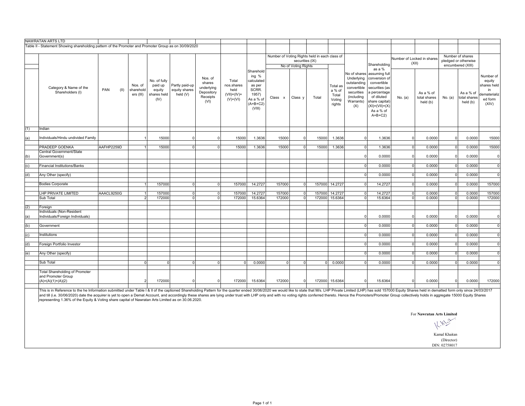|     | NAWRATAN ARTS LTD                                                                                     |             |                                   |                                                          |                                             |                                                                   |                                                               |                                                                                                     |                                               |                     |          |                                                 |                                                                                          |                                                                                                                                                                               |                |                                       |          |                                       |                                                                              |
|-----|-------------------------------------------------------------------------------------------------------|-------------|-----------------------------------|----------------------------------------------------------|---------------------------------------------|-------------------------------------------------------------------|---------------------------------------------------------------|-----------------------------------------------------------------------------------------------------|-----------------------------------------------|---------------------|----------|-------------------------------------------------|------------------------------------------------------------------------------------------|-------------------------------------------------------------------------------------------------------------------------------------------------------------------------------|----------------|---------------------------------------|----------|---------------------------------------|------------------------------------------------------------------------------|
|     | Table II - Statement Showing shareholding pattern of the Promoter and Promoter Group as on 30/09/2020 |             |                                   |                                                          |                                             |                                                                   |                                                               |                                                                                                     |                                               |                     |          |                                                 |                                                                                          |                                                                                                                                                                               |                |                                       |          |                                       |                                                                              |
|     |                                                                                                       |             |                                   |                                                          |                                             |                                                                   |                                                               |                                                                                                     | Number of Voting Rights held in each class of |                     |          |                                                 |                                                                                          |                                                                                                                                                                               |                |                                       |          | Number of shares                      |                                                                              |
|     |                                                                                                       |             |                                   |                                                          |                                             |                                                                   |                                                               |                                                                                                     |                                               | securities (IX)     |          |                                                 |                                                                                          |                                                                                                                                                                               |                | Number of Locked in shares<br>(XII)   |          | pledged or otherwise                  |                                                                              |
|     |                                                                                                       |             |                                   |                                                          |                                             |                                                                   |                                                               |                                                                                                     |                                               | No of Voting Rights |          |                                                 |                                                                                          | Shareholding<br>as a %                                                                                                                                                        |                |                                       |          | encumbered (XIII)                     |                                                                              |
|     | Category & Name of the<br>Shareholders (I)                                                            | (II)<br>PAN | Nos. of<br>sharehold<br>ers (III) | No. of fully<br>paid up<br>equity<br>shares held<br>(IV) | Partly paid-up<br>equity shares<br>held (V) | Nos. of<br>shares<br>underlying<br>Depository<br>Receipts<br>(VI) | Total<br>nos.shares<br>held<br>$(VII) = (IV) +$<br>$(V)+(VI)$ | Sharehold<br>ing $%$<br>calculated<br>as per<br>SCRR.<br>1957)<br>As a % of<br>$(A+B+C2)$<br>(VIII) | Class x                                       | Class <sub>y</sub>  | Total    | Total as<br>a % of<br>Total<br>Voting<br>rights | Underlying<br>outstanding<br>convertible<br>securities<br>(including<br>Warrants)<br>(X) | No of shares assuming full<br>conversion of<br>convertible<br>securities (as<br>a percentage<br>of diluted<br>share capital)<br>$(XI) = (VII) + (X)$<br>As a % of<br>$A+B+C2$ | No. (a)        | As a % of<br>total shares<br>held (b) | No. (a)  | As a % of<br>total shares<br>held (b) | Number of<br>equity<br>shares held<br>in<br>dematerializ<br>ed form<br>(XIV) |
| (1) | Indian                                                                                                |             |                                   |                                                          |                                             |                                                                   |                                                               |                                                                                                     |                                               |                     |          |                                                 |                                                                                          |                                                                                                                                                                               |                |                                       |          |                                       |                                                                              |
| (a) | Individuals/Hindu undivided Family                                                                    |             |                                   | 15000                                                    | $\mathbf 0$                                 | $\mathbf 0$                                                       | 15000                                                         | 1.3636                                                                                              | 15000                                         | $\Omega$            | 15000    | 1.3636                                          | $\Omega$                                                                                 | 1.3636                                                                                                                                                                        | $\Omega$       | 0.0000                                | $\Omega$ | 0.0000                                | 15000                                                                        |
|     |                                                                                                       |             |                                   |                                                          |                                             |                                                                   |                                                               |                                                                                                     |                                               |                     |          |                                                 |                                                                                          |                                                                                                                                                                               |                |                                       |          |                                       |                                                                              |
|     | PRADEEP GOENKA                                                                                        | AAFHP2259D  | $\overline{1}$                    | 15000                                                    | $\mathbf{0}$                                | $\overline{0}$                                                    | 15000                                                         | 1.3636                                                                                              | 15000                                         | $\overline{0}$      | 15000    | 1.3636                                          | $\circ$                                                                                  | 1.3636                                                                                                                                                                        | $\overline{0}$ | 0.0000                                | $\Omega$ | 0.0000                                | 15000                                                                        |
|     | Central Government/State                                                                              |             |                                   |                                                          |                                             |                                                                   |                                                               |                                                                                                     |                                               |                     |          |                                                 |                                                                                          |                                                                                                                                                                               |                |                                       |          |                                       |                                                                              |
| (b) | Government(s)                                                                                         |             |                                   |                                                          |                                             |                                                                   |                                                               |                                                                                                     |                                               |                     |          |                                                 | $\Omega$                                                                                 | 0.0000                                                                                                                                                                        | $\Omega$       | 0.0000                                |          | 0.0000                                | $\mathbf 0$                                                                  |
| (c) | Financial Institutions/Banks                                                                          |             |                                   |                                                          |                                             |                                                                   |                                                               |                                                                                                     |                                               |                     |          |                                                 | $\Omega$                                                                                 | 0.0000                                                                                                                                                                        | $\Omega$       | 0.0000                                | $\Omega$ | 0.0000                                | $\Omega$                                                                     |
| (d) | Any Other (specify)                                                                                   |             |                                   |                                                          |                                             |                                                                   |                                                               |                                                                                                     |                                               |                     |          |                                                 | $\Omega$                                                                                 | 0.0000                                                                                                                                                                        | $\overline{0}$ | 0.0000                                | $\Omega$ | 0.0000                                | $\Omega$                                                                     |
|     |                                                                                                       |             |                                   |                                                          |                                             |                                                                   |                                                               |                                                                                                     |                                               |                     |          |                                                 |                                                                                          |                                                                                                                                                                               |                |                                       |          |                                       |                                                                              |
|     | <b>Bodies Corporate</b>                                                                               |             | $\overline{1}$                    | 157000                                                   | $\mathbf 0$                                 | $\overline{0}$                                                    | 157000                                                        | 14.2727                                                                                             | 157000                                        | $\overline{0}$      |          | 157000 14.2727                                  | $\Omega$                                                                                 | 14.2727                                                                                                                                                                       | $\overline{0}$ | 0.0000                                | $\Omega$ | 0.0000                                | 157000                                                                       |
|     | LHP PRIVATE LIMITED                                                                                   | AAACL9250G  |                                   | 157000                                                   | $\mathbf 0$                                 | $\overline{0}$                                                    | 157000                                                        | 14.2727                                                                                             | 157000                                        | $\overline{0}$      | 157000   | 14.2727                                         | $\Omega$                                                                                 | 14.2727                                                                                                                                                                       | $\overline{0}$ | 0.0000                                |          | 0.0000                                | 157000                                                                       |
|     | Sub Total                                                                                             |             | $\overline{2}$                    | 172000                                                   | $\mathbf{0}$                                | $\overline{0}$                                                    | 172000                                                        | 15.6364                                                                                             | 172000                                        | $\Omega$            | 172000   | 15.6364                                         | $\Omega$                                                                                 | 15.6364                                                                                                                                                                       | $\Omega$       | 0.0000                                |          | 0.0000                                | 172000                                                                       |
|     |                                                                                                       |             |                                   |                                                          |                                             |                                                                   |                                                               |                                                                                                     |                                               |                     |          |                                                 |                                                                                          |                                                                                                                                                                               |                |                                       |          |                                       |                                                                              |
| (2) | Foreign                                                                                               |             |                                   |                                                          |                                             |                                                                   |                                                               |                                                                                                     |                                               |                     |          |                                                 |                                                                                          |                                                                                                                                                                               |                |                                       |          |                                       |                                                                              |
| (a) | Individuals (Non-Resident<br>Individuals/Foreign Individuals)                                         |             |                                   |                                                          |                                             |                                                                   |                                                               |                                                                                                     |                                               |                     |          |                                                 | $\Omega$                                                                                 | 0.0000                                                                                                                                                                        | $\Omega$       | 0.0000                                | $\Omega$ | 0.0000                                | $\mathbf 0$                                                                  |
|     |                                                                                                       |             |                                   |                                                          |                                             |                                                                   |                                                               |                                                                                                     |                                               |                     |          |                                                 |                                                                                          |                                                                                                                                                                               |                |                                       |          |                                       |                                                                              |
| (b) | Government                                                                                            |             |                                   |                                                          |                                             |                                                                   |                                                               |                                                                                                     |                                               |                     |          |                                                 | $\Omega$                                                                                 | 0.0000                                                                                                                                                                        | $\overline{0}$ | 0.0000                                | $\Omega$ | 0.0000                                | $\Omega$                                                                     |
|     |                                                                                                       |             |                                   |                                                          |                                             |                                                                   |                                                               |                                                                                                     |                                               |                     |          |                                                 |                                                                                          | 0.0000                                                                                                                                                                        |                | 0.0000                                | $\Omega$ |                                       | $\overline{0}$                                                               |
| (c) | Institutions                                                                                          |             |                                   |                                                          |                                             |                                                                   |                                                               |                                                                                                     |                                               |                     |          |                                                 | $\Omega$                                                                                 |                                                                                                                                                                               | $\overline{0}$ |                                       |          | 0.0000                                |                                                                              |
| (d) | Foreign Portfolio Investor                                                                            |             |                                   |                                                          |                                             |                                                                   |                                                               |                                                                                                     |                                               |                     |          |                                                 | $\Omega$                                                                                 | 0.0000                                                                                                                                                                        | $\Omega$       | 0.0000                                | $\Omega$ | 0.0000                                | $\Omega$                                                                     |
|     |                                                                                                       |             |                                   |                                                          |                                             |                                                                   |                                                               |                                                                                                     |                                               |                     |          |                                                 |                                                                                          |                                                                                                                                                                               |                |                                       |          |                                       |                                                                              |
| (e) | Any Other (specify)                                                                                   |             |                                   |                                                          |                                             |                                                                   |                                                               |                                                                                                     |                                               |                     |          |                                                 | $\Omega$                                                                                 | 0.0000                                                                                                                                                                        | $\overline{0}$ | 0.0000                                | $\Omega$ | 0.0000                                | $\Omega$                                                                     |
|     | Sub Total                                                                                             |             | $\Omega$                          | $\Omega$                                                 | $\mathbf{0}$                                | $\overline{0}$                                                    | $\Omega$                                                      | 0.0000                                                                                              | $\Omega$                                      | $\Omega$            | $\Omega$ | 0.0000                                          | $\Omega$                                                                                 | 0.0000                                                                                                                                                                        | $\Omega$       | 0.0000                                | $\Omega$ | 0.0000                                | $\Omega$                                                                     |
|     | <b>Total Shareholding of Promoter</b><br>and Promoter Group<br>$(A)=(A)(1)+(A)(2)$                    |             | $\overline{2}$                    | 172000                                                   | $\mathbf 0$                                 | $\Omega$                                                          | 172000                                                        | 15.6364                                                                                             | 172000                                        | $\Omega$            | 172000   | 15.6364                                         | $\overline{0}$                                                                           | 15.6364                                                                                                                                                                       | $\Omega$       | 0.0000                                | $\Omega$ | 0.0000                                | 172000                                                                       |

This is in Reference to the he Information submitted under Table I & II of the captioned Shareholding Pattern for the quarter ended 30/06/2020 we would like to state that M/s. LHP Private Limited (LHP) has sold 157000 Equi representing 1.36% of the Equity & Voting share capital of Nawratan Arts Limited as on 30.06.2020.

For **Nawratan Arts Limited**

Kamal Khaitan (Director)

DIN: 02758017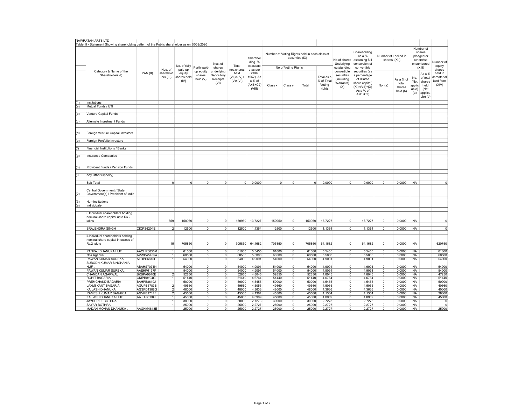|     | NAWRATAN ARTS LTD                                                                             |            |                         |                               |                                 |                                              |                                        |                                                   |                |                     |                                                                  |                                              |                                                             |                                                                                                                 |                                     |                                          |                                       |                                                                        |                                             |
|-----|-----------------------------------------------------------------------------------------------|------------|-------------------------|-------------------------------|---------------------------------|----------------------------------------------|----------------------------------------|---------------------------------------------------|----------------|---------------------|------------------------------------------------------------------|----------------------------------------------|-------------------------------------------------------------|-----------------------------------------------------------------------------------------------------------------|-------------------------------------|------------------------------------------|---------------------------------------|------------------------------------------------------------------------|---------------------------------------------|
|     | Table III - Statement Showing shareholding pattern of the Public shareholder as on 30/09/2020 |            |                         |                               |                                 |                                              |                                        |                                                   |                |                     |                                                                  |                                              |                                                             |                                                                                                                 |                                     |                                          |                                       |                                                                        |                                             |
|     |                                                                                               |            | Nos. of                 | No. of fully<br>paid up       | Partly paid-                    | Nos. of<br>shares                            | Total<br>nos.shares                    | Sharehol<br>ding %<br>calculate<br>d as per       |                | No of Voting Rights | Number of Voting Rights held in each class of<br>securities (IX) |                                              | No of shares<br>Underlying<br>outstanding                   | Shareholding<br>as a %<br>assuming full<br>conversion of<br>convertible                                         | Number of Locked in<br>shares (XII) |                                          |                                       | Number of<br>shares<br>pledged or<br>otherwise<br>encumbered<br>(XIII) | Number of<br>equity<br>shares               |
|     | Category & Name of the<br>Shareholders (I)                                                    | PAN(II)    | sharehold<br>ers (III)  | equity<br>shares held<br>(IV) | up equity<br>shares<br>held (V) | underlying<br>Depository<br>Receipts<br>(VI) | held<br>$(VII) = (IV) +$<br>$(V)+(VI)$ | SCRR.<br>1957) As<br>a % of<br>$A+B+C2$<br>(VIII) | Class x        | Class y             | Total                                                            | Total as a<br>% of Total<br>Voting<br>rights | convertible<br>securities<br>(including<br>Warrants)<br>(X) | securities (as<br>a percentage<br>of diluted<br>share capital)<br>$(XI) = (VII) + (X)$<br>As a % of<br>$A+B+C2$ | No. (a)                             | As a % of<br>total<br>shares<br>held (b) | No.<br>(Not<br>applic<br>able)<br>(a) | As a %<br>of total<br>shares<br>held<br>(Not<br>applica<br>ble) (b)    | held in<br>dematerial<br>ized form<br>(XIV) |
| (1) | <b>Institutions</b>                                                                           |            |                         |                               |                                 |                                              |                                        |                                                   |                |                     |                                                                  |                                              |                                                             |                                                                                                                 |                                     |                                          |                                       |                                                                        |                                             |
| (a) | Mutual Funds / UTI                                                                            |            |                         |                               |                                 |                                              |                                        |                                                   |                |                     |                                                                  |                                              |                                                             |                                                                                                                 |                                     |                                          |                                       |                                                                        |                                             |
|     |                                                                                               |            |                         |                               |                                 |                                              |                                        |                                                   |                |                     |                                                                  |                                              |                                                             |                                                                                                                 |                                     |                                          |                                       |                                                                        |                                             |
| (b) | Venture Capital Funds                                                                         |            |                         |                               |                                 |                                              |                                        |                                                   |                |                     |                                                                  |                                              |                                                             |                                                                                                                 |                                     |                                          |                                       |                                                                        |                                             |
|     |                                                                                               |            |                         |                               |                                 |                                              |                                        |                                                   |                |                     |                                                                  |                                              |                                                             |                                                                                                                 |                                     |                                          |                                       |                                                                        |                                             |
| (c) | Alternate Investment Funds                                                                    |            |                         |                               |                                 |                                              |                                        |                                                   |                |                     |                                                                  |                                              |                                                             |                                                                                                                 |                                     |                                          |                                       |                                                                        |                                             |
|     |                                                                                               |            |                         |                               |                                 |                                              |                                        |                                                   |                |                     |                                                                  |                                              |                                                             |                                                                                                                 |                                     |                                          |                                       |                                                                        |                                             |
| (d) | Foreign Venture Capital Investors                                                             |            |                         |                               |                                 |                                              |                                        |                                                   |                |                     |                                                                  |                                              |                                                             |                                                                                                                 |                                     |                                          |                                       |                                                                        |                                             |
|     |                                                                                               |            |                         |                               |                                 |                                              |                                        |                                                   |                |                     |                                                                  |                                              |                                                             |                                                                                                                 |                                     |                                          |                                       |                                                                        |                                             |
| (e) | Foreign Portfolio Investors                                                                   |            |                         |                               |                                 |                                              |                                        |                                                   |                |                     |                                                                  |                                              |                                                             |                                                                                                                 |                                     |                                          |                                       |                                                                        |                                             |
|     |                                                                                               |            |                         |                               |                                 |                                              |                                        |                                                   |                |                     |                                                                  |                                              |                                                             |                                                                                                                 |                                     |                                          |                                       |                                                                        |                                             |
| (f) | Financial Institutions / Banks                                                                |            |                         |                               |                                 |                                              |                                        |                                                   |                |                     |                                                                  |                                              |                                                             |                                                                                                                 |                                     |                                          |                                       |                                                                        |                                             |
|     |                                                                                               |            |                         |                               |                                 |                                              |                                        |                                                   |                |                     |                                                                  |                                              |                                                             |                                                                                                                 |                                     |                                          |                                       |                                                                        |                                             |
| (g) | <b>Insurance Companies</b>                                                                    |            |                         |                               |                                 |                                              |                                        |                                                   |                |                     |                                                                  |                                              |                                                             |                                                                                                                 |                                     |                                          |                                       |                                                                        |                                             |
|     |                                                                                               |            |                         |                               |                                 |                                              |                                        |                                                   |                |                     |                                                                  |                                              |                                                             |                                                                                                                 |                                     |                                          |                                       |                                                                        |                                             |
| (h) | Provident Funds / Pension Funds                                                               |            |                         |                               |                                 |                                              |                                        |                                                   |                |                     |                                                                  |                                              |                                                             |                                                                                                                 |                                     |                                          |                                       |                                                                        |                                             |
|     | Any Other (specify)                                                                           |            |                         |                               |                                 |                                              |                                        |                                                   |                |                     |                                                                  |                                              |                                                             |                                                                                                                 |                                     |                                          |                                       |                                                                        |                                             |
| (i) |                                                                                               |            |                         |                               |                                 |                                              |                                        |                                                   |                |                     |                                                                  |                                              |                                                             |                                                                                                                 |                                     |                                          |                                       |                                                                        |                                             |
|     |                                                                                               |            |                         |                               |                                 |                                              |                                        |                                                   |                |                     |                                                                  |                                              |                                                             |                                                                                                                 |                                     |                                          |                                       |                                                                        |                                             |
|     | Sub Total                                                                                     |            | $\Omega$                | $\overline{0}$                | $\overline{0}$                  | $\circ$                                      | 0                                      | 0.0000                                            | $\overline{0}$ | $\mathbf 0$         | $\overline{0}$                                                   | 0.0000                                       | $\overline{0}$                                              | 0.0000                                                                                                          | 0                                   | 0.0000                                   | <b>NA</b>                             |                                                                        |                                             |
|     |                                                                                               |            |                         |                               |                                 |                                              |                                        |                                                   |                |                     |                                                                  |                                              |                                                             |                                                                                                                 |                                     |                                          |                                       |                                                                        |                                             |
|     | Central Government / State                                                                    |            |                         |                               |                                 |                                              |                                        |                                                   |                |                     |                                                                  |                                              |                                                             |                                                                                                                 |                                     |                                          |                                       |                                                                        |                                             |
| (2) | Government(s) / President of India                                                            |            |                         |                               |                                 |                                              |                                        |                                                   |                |                     |                                                                  |                                              |                                                             |                                                                                                                 |                                     |                                          |                                       |                                                                        |                                             |
|     |                                                                                               |            |                         |                               |                                 |                                              |                                        |                                                   |                |                     |                                                                  |                                              |                                                             |                                                                                                                 |                                     |                                          |                                       |                                                                        |                                             |
| (3) | Non-Institutions                                                                              |            |                         |                               |                                 |                                              |                                        |                                                   |                |                     |                                                                  |                                              |                                                             |                                                                                                                 |                                     |                                          |                                       |                                                                        |                                             |
| (a) | Individuals-                                                                                  |            |                         |                               |                                 |                                              |                                        |                                                   |                |                     |                                                                  |                                              |                                                             |                                                                                                                 |                                     |                                          |                                       |                                                                        |                                             |
|     |                                                                                               |            |                         |                               |                                 |                                              |                                        |                                                   |                |                     |                                                                  |                                              |                                                             |                                                                                                                 |                                     |                                          |                                       |                                                                        |                                             |
|     | Individual shareholders holding<br>nominal share capital upto Rs.2<br>lakhs                   |            | 359                     | 150950                        | $\circ$                         | $\circ$                                      | 150950                                 | 13.7227                                           | 150950         | $\Omega$            | 150950                                                           | 13.7227                                      | $\Omega$                                                    | 13.7227                                                                                                         | $\mathbf 0$                         | 0.0000                                   | <b>NA</b>                             |                                                                        |                                             |
|     |                                                                                               |            |                         |                               |                                 |                                              |                                        |                                                   |                |                     |                                                                  |                                              |                                                             |                                                                                                                 |                                     |                                          |                                       |                                                                        |                                             |
|     | <b>BRAJENDRA SINGH</b>                                                                        | CIOPS6204E | $\mathfrak{p}$          | 12500                         | $\overline{0}$                  | $\circ$                                      | 12500                                  | 1.1364                                            | 12500          | $\overline{0}$      | 12500                                                            | 1.1364                                       | $\circ$                                                     | 1.1364                                                                                                          | $^{\circ}$                          | 0.0000                                   | <b>NA</b>                             |                                                                        | $\mathbf 0$                                 |
|     |                                                                                               |            |                         |                               |                                 |                                              |                                        |                                                   |                |                     |                                                                  |                                              |                                                             |                                                                                                                 |                                     |                                          |                                       |                                                                        |                                             |
|     | ii.Individual shareholders holding<br>nominal share capital in excess of<br>Rs.2 lakhs        |            | 15                      | 705850                        | $\overline{0}$                  | $\overline{0}$                               | 705850                                 | 64.1682                                           | 705850         | $\mathbf 0$         | 705850                                                           | 64.1682                                      | $\overline{0}$                                              | 64.1682                                                                                                         | $\mathbf 0$                         | 0.0000                                   | <b>NA</b>                             |                                                                        | 620750                                      |
|     | PANKAJ DHANUKA HUF                                                                            | AAOHP8856M | $\mathbf{1}$            | 61000                         | $\circ$                         | $\overline{0}$                               | 61000                                  | 5.5455                                            | 61000          | $\overline{0}$      | 61000                                                            | 5.5455                                       | $\overline{0}$                                              | 5.5455                                                                                                          | 0                                   | 0.0000                                   | NA                                    |                                                                        | 61000                                       |
|     |                                                                                               | AVWPA5435A | $\mathbf{1}$            | 60500                         | $\overline{0}$                  | $\overline{0}$                               | 60500                                  | 5.5000                                            | 60500          | $\Omega$            | 60500                                                            | 5.5000                                       | $\circ$                                                     | 5.5000                                                                                                          | $\mathbf 0$                         | 0.0000                                   | NA                                    |                                                                        | 60500                                       |
|     | Nita Agarwal                                                                                  |            |                         |                               |                                 |                                              |                                        |                                                   |                |                     |                                                                  |                                              |                                                             |                                                                                                                 |                                     |                                          |                                       |                                                                        |                                             |
|     | PAWAN KUMAR SUREKA                                                                            | ALQPS6815C | 1                       | 54000                         | $\overline{0}$                  | $\overline{0}$                               | 54000                                  | 4.9091                                            | 54000          | $\mathbf 0$         | 54000                                                            | 4.9091                                       | $\overline{0}$                                              | 4.9091                                                                                                          | $\mathsf 0$                         | 0.0000                                   | <b>NA</b>                             |                                                                        | 54000                                       |
|     | SUBODH KUMAR SINGHANIA                                                                        |            |                         |                               |                                 |                                              |                                        |                                                   |                |                     |                                                                  |                                              |                                                             |                                                                                                                 |                                     |                                          |                                       |                                                                        |                                             |
|     | <b>HUF</b>                                                                                    | ABAHS7071N | 1                       | 54000                         | $\overline{0}$                  | $\circ$                                      | 54000                                  | 4.9091                                            | 54000          | 0                   | 54000                                                            | 4.9091                                       | $\mathbf 0$                                                 | 4.9091                                                                                                          | $\mathsf 0$                         | 0.0000                                   | <b>NA</b>                             |                                                                        | 54000                                       |
|     | PAWAN KUMAR SUREKA                                                                            | AAEHP6137P | $\overline{1}$          | 54000                         | $\circ$                         | $\circ$                                      | 54000                                  | 4.9091                                            | 54000          | $\Omega$            | 54000                                                            | 4.9091                                       | $\overline{0}$                                              | 4.9091                                                                                                          | $\mathbf 0$                         | 0.0000                                   | <b>NA</b>                             |                                                                        | 54000                                       |
|     | CHANDAN AGARWAL                                                                               | BKBPA9840E | $\overline{\mathbf{2}}$ | 52850                         | $\circ$                         | $\overline{0}$                               | 52850                                  | 4.8045                                            | 52850          | $\mathbf 0$         | 52850                                                            | 4.8045                                       | $\circ$                                                     | 4.8045                                                                                                          | 0                                   | 0.0000                                   | <b>NA</b>                             |                                                                        | 47250                                       |
|     | ROHIT BAGARIA                                                                                 | CKIPB0194G | $\mathbf{1}$            | 51440                         | $\overline{0}$                  | $\overline{0}$                               | 51440                                  | 4.6764                                            | 51440          | $\Omega$            | 51440                                                            | 4.6764                                       | $\overline{0}$                                              | 4.6764                                                                                                          | $\mathbf 0$                         | 0.0000                                   | <b>NA</b>                             |                                                                        | 51440                                       |
|     | PREMCHAND BAGARIA                                                                             | BAHPB8619J | 1                       | 50000                         | $\overline{0}$                  | $\overline{0}$                               | 50000                                  | 4.5455                                            | 50000          | $\overline{0}$      | 50000                                                            | 4.5455                                       | $\overline{0}$                                              | 4.5455                                                                                                          | 0                                   | 0.0000                                   | <b>NA</b>                             |                                                                        | 50000                                       |
|     | LAXMI KANT BAGARIA                                                                            | AGUPB6783B | $\overline{2}$          | 49560                         | $\overline{0}$                  | $\overline{0}$                               | 49560                                  | 4.5055                                            | 49560          | $\mathbf 0$         | 49560                                                            | 4.5055                                       | $\circ$                                                     | 4.5055                                                                                                          | $^{\circ}$                          | 0.0000                                   | <b>NA</b>                             |                                                                        | 40560                                       |
|     | KAILASH DHANUKA                                                                               | AGSPD1388G | $\overline{2}$          | 48000                         | $\circ$                         | $\circ$                                      | 48000                                  | 4.3636                                            | 48000          | $\overline{0}$      | 48000                                                            | 4.3636                                       | $\overline{0}$                                              | 4.3636                                                                                                          | 0                                   | 0.0000                                   | <b>NA</b>                             |                                                                        | 40000                                       |
|     | RAMESH KUMAR BAGARIA                                                                          | AGVPB1714F | $\overline{2}$          | 45500                         | $\overline{0}$                  | $\overline{0}$                               | 45500                                  | 4.1364                                            | 45500          | $\overline{0}$      | 45500                                                            | 4.1364                                       | $\overline{0}$                                              | 4.1364                                                                                                          | $^{\circ}$                          | 0.0000                                   | <b>NA</b>                             |                                                                        | 38000                                       |
|     | KAILASH DHANUKA HUF                                                                           | AAJHK2600K | 1                       | 45000                         | $\overline{0}$                  | $\overline{0}$                               | 45000                                  | 4.0909                                            | 45000          | $\overline{0}$      | 45000                                                            | 4.0909                                       | $\overline{0}$                                              | 4.0909                                                                                                          | $\overline{0}$                      | 0.0000                                   | <b>NA</b>                             |                                                                        | 45000                                       |
|     | JAYSHREE BOTHRA                                                                               |            | $\mathbf{1}$            | 30000                         | $\overline{0}$                  | $\overline{0}$                               | 30000                                  | 2.7273                                            | 30000          | $\mathbf{0}$        | 30000                                                            | 2.7273                                       | $\overline{0}$                                              | 2.7273                                                                                                          | $\mathsf 0$                         | 0.0000                                   | <b>NA</b>                             |                                                                        | $\Omega$                                    |
|     | SAYAR BOTHRA                                                                                  |            | 1                       | 25000                         | $\circ$                         | $\overline{0}$                               | 25000                                  | 2.2727                                            | 25000          | $\overline{0}$      | 25000                                                            | 2.2727                                       | $\overline{0}$                                              | 2.2727                                                                                                          | 0                                   | 0.0000                                   | <b>NA</b>                             |                                                                        | $\Omega$                                    |
|     | MADAN MOHAN DHANUKA.                                                                          | AAGHM4618E | 1                       | 25000                         | 0                               | $\overline{0}$                               | 25000                                  | 2.2727                                            | 25000          | $\Omega$            | 25000                                                            | 2.2727                                       | $\overline{0}$                                              | 2.2727                                                                                                          | $\mathbf 0$                         | 0.0000                                   | <b>NA</b>                             |                                                                        | 25000                                       |
|     |                                                                                               |            |                         |                               |                                 |                                              |                                        |                                                   |                |                     |                                                                  |                                              |                                                             |                                                                                                                 |                                     |                                          |                                       |                                                                        |                                             |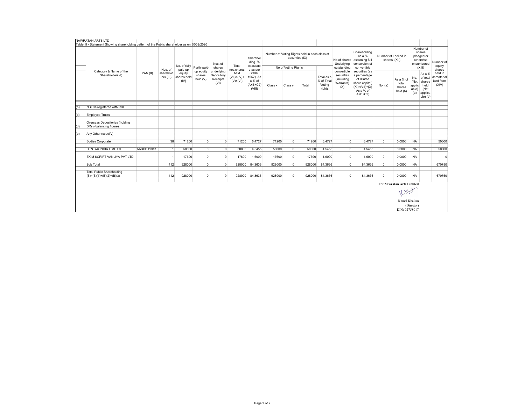|     | NAWRATAN ARTS LTD                                                                             |            |                        |                               |                                 |                                              |                                     |                                                     |         |                     |                                                                  |                                              |                                                                    |                                                                                                                 |                                     |                                          |                                       |                                                                        |                                             |
|-----|-----------------------------------------------------------------------------------------------|------------|------------------------|-------------------------------|---------------------------------|----------------------------------------------|-------------------------------------|-----------------------------------------------------|---------|---------------------|------------------------------------------------------------------|----------------------------------------------|--------------------------------------------------------------------|-----------------------------------------------------------------------------------------------------------------|-------------------------------------|------------------------------------------|---------------------------------------|------------------------------------------------------------------------|---------------------------------------------|
|     | Table III - Statement Showing shareholding pattern of the Public shareholder as on 30/09/2020 |            |                        |                               |                                 |                                              |                                     |                                                     |         |                     |                                                                  |                                              |                                                                    |                                                                                                                 |                                     |                                          |                                       |                                                                        |                                             |
|     |                                                                                               |            | Nos. of                | No. of fully<br>paid up       | Partly paid-                    | Nos. of<br>shares                            | Total<br>nos.shares                 | Sharehol<br>ding %<br>calculate<br>d as per         |         | No of Voting Rights | Number of Voting Rights held in each class of<br>securities (IX) |                                              | No of shares<br>Underlying<br>outstanding                          | Shareholding<br>as a %<br>assuming full<br>conversion of<br>convertible                                         | Number of Locked in<br>shares (XII) |                                          |                                       | Number of<br>shares<br>pledged or<br>otherwise<br>encumbered<br>(XIII) | Number of<br>equity<br>shares               |
|     | Category & Name of the<br>Shareholders (I)                                                    | PAN(II)    | sharehold<br>ers (III) | equity<br>shares held<br>(IV) | up equity<br>shares<br>held (V) | underlying<br>Depository<br>Receipts<br>(VI) | held<br>$(VII)=(IV)+$<br>$(V)+(VI)$ | SCRR.<br>1957) As<br>a % of<br>$(A+B+C2)$<br>(VIII) | Class x | Class y             | Total                                                            | Total as a<br>% of Total<br>Voting<br>rights | convertible<br>securities<br><i>(including</i><br>Warrants)<br>(X) | securities (as<br>a percentage<br>of diluted<br>share capital)<br>$(XI) = (VII) + (X)$<br>As a % of<br>$A+B+C2$ | No. (a)                             | As a % of<br>total<br>shares<br>held (b) | No.<br>(Not<br>applic<br>able)<br>(a) | As a %<br>of total<br>shares<br>held<br>(Not<br>applica<br>ble) (b)    | held in<br>dematerial<br>ized form<br>(XIV) |
|     |                                                                                               |            |                        |                               |                                 |                                              |                                     |                                                     |         |                     |                                                                  |                                              |                                                                    |                                                                                                                 |                                     |                                          |                                       |                                                                        |                                             |
| (b) | NBFCs registered with RBI                                                                     |            |                        |                               |                                 |                                              |                                     |                                                     |         |                     |                                                                  |                                              |                                                                    |                                                                                                                 |                                     |                                          |                                       |                                                                        |                                             |
|     |                                                                                               |            |                        |                               |                                 |                                              |                                     |                                                     |         |                     |                                                                  |                                              |                                                                    |                                                                                                                 |                                     |                                          |                                       |                                                                        |                                             |
| (c) | <b>Employee Trusts</b>                                                                        |            |                        |                               |                                 |                                              |                                     |                                                     |         |                     |                                                                  |                                              |                                                                    |                                                                                                                 |                                     |                                          |                                       |                                                                        |                                             |
| (d) | Overseas Depositories (holding<br>DRs) (balancing figure)                                     |            |                        |                               |                                 |                                              |                                     |                                                     |         |                     |                                                                  |                                              |                                                                    |                                                                                                                 |                                     |                                          |                                       |                                                                        |                                             |
|     |                                                                                               |            |                        |                               |                                 |                                              |                                     |                                                     |         |                     |                                                                  |                                              |                                                                    |                                                                                                                 |                                     |                                          |                                       |                                                                        |                                             |
| (e) | Any Other (specify)                                                                           |            |                        |                               |                                 |                                              |                                     |                                                     |         |                     |                                                                  |                                              |                                                                    |                                                                                                                 |                                     |                                          |                                       |                                                                        |                                             |
|     | <b>Bodies Corporate</b>                                                                       |            | 38                     | 71200                         | $\overline{0}$                  | $\overline{0}$                               | 71200                               | 6.4727                                              | 71200   | $\overline{0}$      | 71200                                                            | 6.4727                                       | $\overline{0}$                                                     | 6.4727                                                                                                          | $\overline{0}$                      | 0.0000                                   | <b>NA</b>                             |                                                                        | 50000                                       |
|     |                                                                                               |            |                        |                               |                                 |                                              |                                     |                                                     |         |                     |                                                                  |                                              |                                                                    |                                                                                                                 |                                     |                                          |                                       |                                                                        |                                             |
|     | <b>DENTAX INDIA LIMITED</b>                                                                   | AABCD1191K |                        | 50000                         | $\overline{0}$                  | $\overline{0}$                               | 50000                               | 4.5455                                              | 50000   | $\overline{0}$      | 50000                                                            | 4.5455                                       | $\Omega$                                                           | 4.5455                                                                                                          | $\mathbf 0$                         | 0.0000                                   | <b>NA</b>                             |                                                                        | 50000                                       |
|     | EXIM SCRIPT VANIJYA PVT LTD                                                                   |            |                        | 17600                         | $\Omega$                        | $\overline{0}$                               | 17600                               | 1.6000                                              | 17600   | $\Omega$            | 17600                                                            | 1.6000                                       | $\Omega$                                                           | 1.6000                                                                                                          | $\mathbf 0$                         | 0.0000                                   | <b>NA</b>                             |                                                                        | $\mathbf 0$                                 |
|     |                                                                                               |            |                        |                               |                                 |                                              |                                     |                                                     |         |                     |                                                                  |                                              |                                                                    |                                                                                                                 |                                     |                                          |                                       |                                                                        |                                             |
|     | Sub Total                                                                                     |            | 412                    | 928000                        | $\overline{0}$                  | $\overline{0}$                               | 928000                              | 84.3636                                             | 928000  | $\overline{0}$      | 928000                                                           | 84.3636                                      | $\Omega$                                                           | 84.3636                                                                                                         | $\overline{0}$                      | 0.0000                                   | <b>NA</b>                             |                                                                        | 670750                                      |
|     | <b>Total Public Shareholding</b><br>$(B)=(B)(1)+(B)(2)+(B)(3)$                                |            | 412                    | 928000                        | $\overline{0}$                  | $\overline{0}$                               | 928000                              | 84.3636                                             | 928000  | $\overline{0}$      | 928000                                                           | 84.3636                                      | $\Omega$                                                           | 84.3636                                                                                                         | $^{\circ}$                          | 0.0000                                   | <b>NA</b>                             |                                                                        | 670750                                      |
|     |                                                                                               |            |                        |                               |                                 |                                              |                                     |                                                     |         |                     |                                                                  |                                              |                                                                    |                                                                                                                 |                                     |                                          |                                       |                                                                        |                                             |
|     |                                                                                               |            |                        |                               |                                 |                                              |                                     |                                                     |         |                     |                                                                  |                                              |                                                                    |                                                                                                                 |                                     | For Nawratan Arts Limited                |                                       |                                                                        |                                             |
|     | Killy                                                                                         |            |                        |                               |                                 |                                              |                                     |                                                     |         |                     |                                                                  |                                              |                                                                    |                                                                                                                 |                                     |                                          |                                       |                                                                        |                                             |
|     |                                                                                               |            |                        |                               |                                 |                                              |                                     |                                                     |         |                     |                                                                  |                                              |                                                                    |                                                                                                                 |                                     | Kamal Khaitan                            |                                       |                                                                        |                                             |
|     |                                                                                               |            |                        |                               |                                 |                                              |                                     |                                                     |         |                     |                                                                  |                                              |                                                                    |                                                                                                                 |                                     |                                          | (Director)                            |                                                                        |                                             |
|     |                                                                                               |            |                        |                               |                                 |                                              |                                     |                                                     |         |                     |                                                                  |                                              |                                                                    |                                                                                                                 |                                     | DIN: 02758017                            |                                       |                                                                        |                                             |
|     |                                                                                               |            |                        |                               |                                 |                                              |                                     |                                                     |         |                     |                                                                  |                                              |                                                                    |                                                                                                                 |                                     |                                          |                                       |                                                                        |                                             |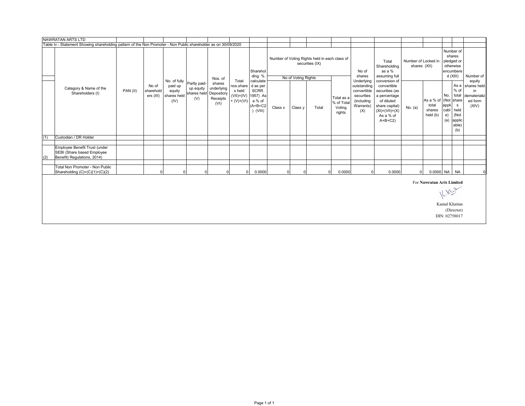|     | <b>NAWRATAN ARTS LTD</b>                                                                                        |          |                                 |                                                                       |                                            |                                          |                                                                     |                                                                 |         |                     |                                                                  |                                              |                                                                                          |                                                                                                                                                 |                                     |                             |                                                                                                                                        |                                                                      |
|-----|-----------------------------------------------------------------------------------------------------------------|----------|---------------------------------|-----------------------------------------------------------------------|--------------------------------------------|------------------------------------------|---------------------------------------------------------------------|-----------------------------------------------------------------|---------|---------------------|------------------------------------------------------------------|----------------------------------------------|------------------------------------------------------------------------------------------|-------------------------------------------------------------------------------------------------------------------------------------------------|-------------------------------------|-----------------------------|----------------------------------------------------------------------------------------------------------------------------------------|----------------------------------------------------------------------|
|     | Table Iv - Statement Showing shareholding pattern of the Non Promoter - Non Public shareholder as on 30/09/2020 |          |                                 |                                                                       |                                            |                                          |                                                                     |                                                                 |         |                     |                                                                  |                                              |                                                                                          |                                                                                                                                                 |                                     |                             |                                                                                                                                        |                                                                      |
|     |                                                                                                                 |          |                                 |                                                                       |                                            | Nos. of                                  |                                                                     | Sharehol<br>ding %                                              |         | No of Voting Rights | Number of Voting Rights held in each class of<br>securities (IX) |                                              | No of<br>shares                                                                          | Total<br>Shareholding<br>as a %<br>assuming full                                                                                                | Number of Locked in<br>shares (XII) |                             | Number of<br>shares<br>pledged or<br>otherwise<br>encumbere<br>d (XIII)                                                                | Number of                                                            |
|     | Category & Name of the<br>Shareholders (I)                                                                      | PAN (II) | No of<br>sharehold<br>ers (III) | No. of fully Partly paid-<br>paid up<br>equity<br>shares held<br>(IV) | up equity<br>shares held Depository<br>(V) | shares<br>underlying<br>Receipts<br>(VI) | Total<br>nos.share<br>s held<br>(VII)=(IV) 1957) As<br>$+ (V)+(VI)$ | calculate<br>d as per<br>SCRR.<br>a % of<br>$(A+B+C2$<br>(VIII) | Class x | Class y             | Total                                                            | Total as a<br>% of Total<br>Voting<br>rights | Underlying<br>outstanding<br>convertible<br>securities<br>(including<br>Warrants)<br>(X) | conversion of<br>convertible<br>securities (as<br>a percentage<br>of diluted<br>share capital)<br>$(XI) = (VII) + (X)$<br>As a % of<br>$A+B+C2$ | No. (a)                             | total<br>shares<br>held (b) | $%$ of<br>No.<br>total<br>As a % of (Not share<br>appli<br>$\mathbf{s}$<br>cabl<br>held<br>e)<br>(Not<br>applic<br>(a)<br>able)<br>(b) | equity<br>As a shares held<br>in<br>dematerializ<br>ed form<br>(XIV) |
| (1) | Custodian / DR Holder                                                                                           |          |                                 |                                                                       |                                            |                                          |                                                                     |                                                                 |         |                     |                                                                  |                                              |                                                                                          |                                                                                                                                                 |                                     |                             |                                                                                                                                        |                                                                      |
| (2) | Employee Benefit Trust (under<br>SEBI (Share based Employee<br>Benefit) Regulations, 2014)                      |          |                                 |                                                                       |                                            |                                          |                                                                     |                                                                 |         |                     |                                                                  |                                              |                                                                                          |                                                                                                                                                 |                                     |                             |                                                                                                                                        |                                                                      |
|     | Total Non Promoter - Non Public<br>Shareholding (C)=(C)(1)+(C)(2)                                               |          |                                 |                                                                       |                                            |                                          |                                                                     | 0.0000                                                          |         |                     |                                                                  | 0.0000                                       |                                                                                          | 0.0000                                                                                                                                          |                                     |                             | 0.0000 NA NA                                                                                                                           | $\Omega$                                                             |
|     |                                                                                                                 |          |                                 |                                                                       |                                            |                                          |                                                                     |                                                                 |         |                     |                                                                  |                                              |                                                                                          |                                                                                                                                                 |                                     |                             | For Nawratan Arts Limited                                                                                                              |                                                                      |
|     |                                                                                                                 |          |                                 |                                                                       |                                            |                                          |                                                                     |                                                                 |         |                     |                                                                  |                                              |                                                                                          |                                                                                                                                                 |                                     |                             | 11.10                                                                                                                                  |                                                                      |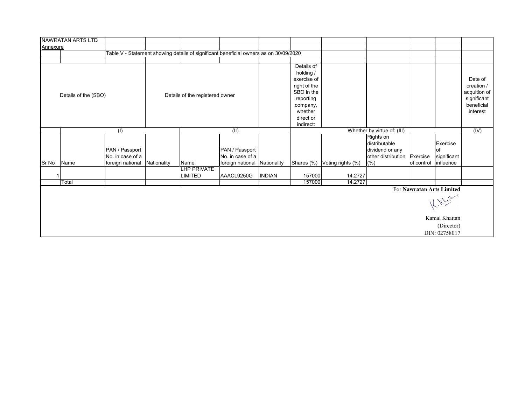|          | NAWRATAN ARTS LTD    |                                    |             |                                                                                       |                                    |               |                                                                                                                                    |                              |                                                                     |            |                                                                                          |                                                                                |
|----------|----------------------|------------------------------------|-------------|---------------------------------------------------------------------------------------|------------------------------------|---------------|------------------------------------------------------------------------------------------------------------------------------------|------------------------------|---------------------------------------------------------------------|------------|------------------------------------------------------------------------------------------|--------------------------------------------------------------------------------|
| Annexure |                      |                                    |             |                                                                                       |                                    |               |                                                                                                                                    |                              |                                                                     |            |                                                                                          |                                                                                |
|          |                      |                                    |             | Table V - Statement showing details of significant beneficial owners as on 30/09/2020 |                                    |               |                                                                                                                                    |                              |                                                                     |            |                                                                                          |                                                                                |
|          |                      |                                    |             |                                                                                       |                                    |               |                                                                                                                                    |                              |                                                                     |            |                                                                                          |                                                                                |
|          | Details of the (SBO) |                                    |             | Details of the registered owner                                                       |                                    |               | Details of<br>holding /<br>exercise of<br>right of the<br>SBO in the<br>reporting<br>company,<br>whether<br>direct or<br>indirect: |                              |                                                                     |            |                                                                                          | Date of<br>creation /<br>acquition of<br>significant<br>beneficial<br>interest |
|          |                      | (1)                                |             |                                                                                       | (II)                               |               |                                                                                                                                    |                              | Whether by virtue of: (III)                                         |            |                                                                                          | (IV)                                                                           |
|          |                      | PAN / Passport<br>No. in case of a |             |                                                                                       | PAN / Passport<br>No. in case of a |               |                                                                                                                                    |                              | Rights on<br>distributable<br>dividend or any<br>other distribution | Exercise   | Exercise<br>of<br>significant                                                            |                                                                                |
| Sr No    | Name                 | foreign national                   | Nationality | Name                                                                                  | foreign national Nationality       |               |                                                                                                                                    | Shares (%) Voting rights (%) | (% )                                                                | of control | influence                                                                                |                                                                                |
| 1        |                      |                                    |             | LHP PRIVATE<br>LIMITED                                                                | AAACL9250G                         | <b>INDIAN</b> | 157000                                                                                                                             | 14.2727                      |                                                                     |            |                                                                                          |                                                                                |
|          | Total                |                                    |             |                                                                                       |                                    |               | 157000                                                                                                                             | 14.2727                      |                                                                     |            |                                                                                          |                                                                                |
|          |                      |                                    |             |                                                                                       |                                    |               |                                                                                                                                    |                              |                                                                     |            | For Nawratan Arts Limited<br>$k_{\rm s}$<br>Kamal Khaitan<br>(Director)<br>DIN: 02758017 |                                                                                |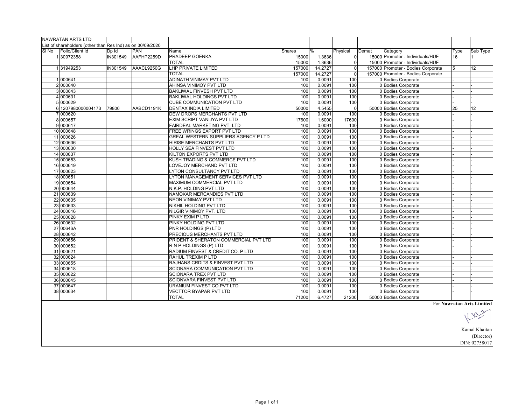|       | <b>NAWRATAN ARTS LTD</b>                                   |          |            |                                             |        |               |                |       |                                    |      |                           |
|-------|------------------------------------------------------------|----------|------------|---------------------------------------------|--------|---------------|----------------|-------|------------------------------------|------|---------------------------|
|       | List of shareholders (other than Res Ind) as on 30/09/2020 |          |            |                                             |        |               |                |       |                                    |      |                           |
| SI No | Folio/Client Id                                            | Dp Id    | <b>PAN</b> | Name                                        | Shares | $\frac{0}{0}$ | Physical       | Demat | Category                           | Type | Sub Type                  |
|       | 130972358                                                  | IN301549 | AAFHP2259D | PRADEEP GOENKA                              | 15000  | 1.3636        | $\overline{0}$ |       | 15000 Promoter - Individuals/HUF   | 16   |                           |
|       |                                                            |          |            | <b>TOTAL</b>                                | 15000  | 1.3636        | $\Omega$       |       | 15000 Promoter - Individuals/HUF   |      |                           |
|       | 131949253                                                  | IN301549 | AAACL9250G | <b>LHP PRIVATE LIMITED</b>                  | 157000 | 14.2727       | $\overline{0}$ |       | 157000 Promoter - Bodies Corporate | 5    | 12                        |
|       |                                                            |          |            | <b>TOTAL</b>                                | 157000 | 14.2727       | $\Omega$       |       | 157000 Promoter - Bodies Corporate |      |                           |
|       | 1000641                                                    |          |            | ADINATH VINIMAY PVT LTD                     | 100    | 0.0091        | 100            |       | 0 Bodies Corporate                 |      |                           |
|       | 2 000640                                                   |          |            | AHINSA VINIMOY PVT LTD                      | 100    | 0.0091        | 100            |       | 0 Bodies Corporate                 |      |                           |
|       | 3000643                                                    |          |            | <b>BAKLIWAL FINVESH PVT LTD</b>             | 100    | 0.0091        | 100            |       | 0 Bodies Corporate                 |      |                           |
|       | 4 000631                                                   |          |            | BAKLIWAL HOLDINGS PVT LTD                   | 100    | 0.0091        | 100            |       | 0 Bodies Corporate                 |      |                           |
|       | 5 000629                                                   |          |            | CUBE COMMUNICATION PVT LTD                  | 100    | 0.0091        | 100            |       | 0 Bodies Corporate                 |      |                           |
|       | 6 1207980000004173                                         | 79800    | AABCD1191K | <b>DENTAX INDIA LIMITED</b>                 | 50000  | 4.5455        | $\overline{0}$ |       | 50000 Bodies Corporate             | 25   | 12                        |
|       | 7000620                                                    |          |            | DEW DROPS MERCHANTS PVT LTD                 | 100    | 0.0091        | 100            |       | 0 Bodies Corporate                 |      |                           |
|       | 8000657                                                    |          |            | EXIM SCRIPT VANIJYA PVT LTD                 | 17600  | 1.6000        | 17600          |       | 0 Bodies Corporate                 |      |                           |
|       | 9000617                                                    |          |            | FAIRDEAL MARKETING PVT. LTD                 | 100    | 0.0091        | 100            |       | 0 Bodies Corporate                 |      |                           |
|       | 10 000648                                                  |          |            | FREE WRINGS EXPORT PVT LTD                  | 100    | 0.0091        | 100            |       | 0 Bodies Corporate                 |      |                           |
|       | 11 000626                                                  |          |            | <b>GREAL WESTERN SUPPLIERS AGENCY P LTD</b> | 100    | 0.0091        | 100            |       | 0 Bodies Corporate                 |      |                           |
|       | 12 000636                                                  |          |            | HIRISE MERCHANTS PVT LTD                    | 100    | 0.0091        | 100            |       | 0 Bodies Corporate                 |      |                           |
|       | 13 000630                                                  |          |            | <b>HOLLY SEA FINVEST PVT LTD</b>            | 100    | 0.0091        | 100            |       | 0 Bodies Corporate                 |      |                           |
|       | 14 000637                                                  |          |            | KILTON EXPORTS PVT LTD                      | 100    | 0.0091        | 100            |       | 0 Bodies Corporate                 |      |                           |
|       | 15 000653                                                  |          |            | KUSH TRADING & COMMERCE PVT LTD             | 100    | 0.0091        | 100            |       | 0 Bodies Corporate                 |      |                           |
|       | 16 000619                                                  |          |            | LOVEJOY MERCHAND PVT LTD                    | 100    | 0.0091        | 100            |       | 0 Bodies Corporate                 |      |                           |
|       | 17 000623                                                  |          |            | LYTON CONSULTANCY PVT LTD                   | 100    | 0.0091        | 100            |       | 0 Bodies Corporate                 |      |                           |
|       | 18 000651                                                  |          |            | LYTON MANAGEMENT SERVICES PVT LTD           | 100    | 0.0091        | 100            |       | 0 Bodies Corporate                 |      |                           |
|       | 19 000654                                                  |          |            | <b>MAXIMUM COMMERCIAL PVT LTD</b>           | 100    | 0.0091        | 100            |       | 0 Bodies Corporate                 |      |                           |
|       | 20 000644                                                  |          |            | N.K.P. HOLDING PVT LTD                      | 100    | 0.0091        | 100            |       | 0 Bodies Corporate                 |      |                           |
|       | 21 000639                                                  |          |            | NAMOKAR MERCANDIES PVT LTD                  | 100    | 0.0091        | 100            |       | 0 Bodies Corporate                 |      |                           |
|       | 22 000635                                                  |          |            | NEON VINIMAY PVT LTD                        | 100    | 0.0091        | 100            |       | 0 Bodies Corporate                 |      |                           |
|       | 23 000633                                                  |          |            | NIKHIL HOLDING PVT LTD                      | 100    | 0.0091        | 100            |       | 0 Bodies Corporate                 |      |                           |
|       | 24 000616                                                  |          |            | NILGIR VINIMOY PVT. LTD                     | 100    | 0.0091        | 100            |       | 0 Bodies Corporate                 |      |                           |
|       | 25 000628                                                  |          |            | PINKY EXIM P LTD                            | 100    | 0.0091        | 100            |       | 0 Bodies Corporate                 |      |                           |
|       | 26 000632                                                  |          |            | PINKY HOLDING PVT LTD                       | 100    | 0.0091        | 100            |       | 0 Bodies Corporate                 |      |                           |
|       | 27 00646A                                                  |          |            | PNR HOLDINGS (P) LTD                        | 100    | 0.0091        | 100            |       | 0 Bodies Corporate                 |      |                           |
|       | 28 000642                                                  |          |            | PRECIOUS MERCHANTS PVT LTD                  | 100    | 0.0091        | 100            |       | 0 Bodies Corporate                 |      |                           |
|       | 29 000656                                                  |          |            | PRIDENT & SHERATON COMMERCIAL PVT LTD       | 100    | 0.0091        | 100            |       | 0 Bodies Corporate                 |      |                           |
|       | 30 000652                                                  |          |            | R N P HOLDINGS (P) LTD                      | 100    | 0.0091        | 100            |       | 0 Bodies Corporate                 |      |                           |
|       | 31 000621                                                  |          |            | RADIUM FINVEST & CREDIT CO. P LTD           | 100    | 0.0091        | 100            |       | 0 Bodies Corporate                 |      |                           |
|       | 32 000624                                                  |          |            | RAHUL TREXIM P LTD                          | 100    | 0.0091        | 100            |       | 0 Bodies Corporate                 |      |                           |
|       | 33 000655                                                  |          |            | RAJHANS CRDITS & FINVEST PVT LTD            | 100    | 0.0091        | 100            |       | 0 Bodies Corporate                 |      |                           |
|       | 34 000618                                                  |          |            | SCIONARA COMMUNICATION PVT LTD              | 100    | 0.0091        | 100            |       | 0 Bodies Corporate                 |      |                           |
|       | 35 000622                                                  |          |            | SCIONARA TREX PVT LTD                       | 100    | 0.0091        | 100            |       | 0 Bodies Corporate                 |      |                           |
|       | 36 000645                                                  |          |            | SCIONVARA FINVEST PVT LTD                   | 100    | 0.0091        | 100            |       | 0 Bodies Corporate                 |      |                           |
|       | 37 000647                                                  |          |            | URANIUM FINVEST CO.PVT LTD                  | 100    | 0.0091        | 100            |       | 0 Bodies Corporate                 |      |                           |
|       | 38 000634                                                  |          |            | <b>VECTTOR BYAPAR PVT LTD</b>               | 100    | 0.0091        | 100            |       | 0 Bodies Corporate                 |      |                           |
|       |                                                            |          |            | <b>TOTAL</b>                                | 71200  | 6.4727        | 21200          |       | 50000 Bodies Corporate             |      |                           |
|       |                                                            |          |            |                                             |        |               |                |       |                                    |      | For Nawratan Arts Limited |

Art Similar<br>|<br>| X<sup>7</sup> Similar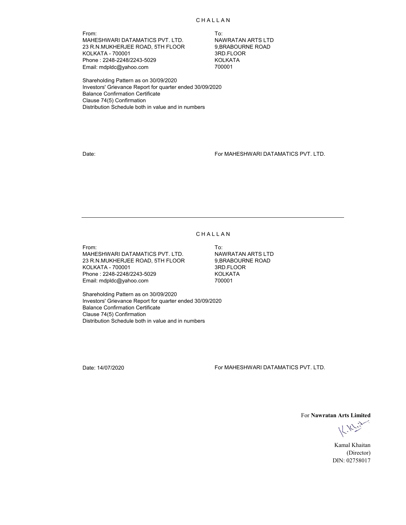From: To: MAHESHWARI DATAMATICS PVT. LTD. NAWRATAN ARTS LTD<br>23 R.N.MUKHERJEE ROAD, 5TH FLOOR 9,BRABOURNE ROAD 23 R.N.MUKHERJEE ROAD, 5TH FLOOR KOLKATA - 700001 3RD.FLOOR Phone : 2248-2248/2243-5029 KOLKATA Email: mdpldc@yahoo.com

Shareholding Pattern as on 30/09/2020 Investors' Grievance Report for quarter ended 30/09/2020 Balance Confirmation Certificate Clause 74(5) Confirmation Distribution Schedule both in value and in numbers

Date: For MAHESHWARI DATAMATICS PVT. LTD.

#### **CHALLAN**

From: To: MAHESHWARI DATAMATICS PVT. LTD. NAWRATAN ARTS LTD 23 R.N.MUKHERJEE ROAD, 5TH FLOOR 9,BRABOURNE ROAD KOLKATA - 700001 3RD.FLOOR Phone : 2248-2248/2243-5029 KOLKATA Email: mdpldc@yahoo.com

Shareholding Pattern as on 30/09/2020 Investors' Grievance Report for quarter ended 30/09/2020 Balance Confirmation Certificate Clause 74(5) Confirmation Distribution Schedule both in value and in numbers

Date: 14/07/2020 For MAHESHWARI DATAMATICS PVT. LTD.

For **Nawratan Arts Limited**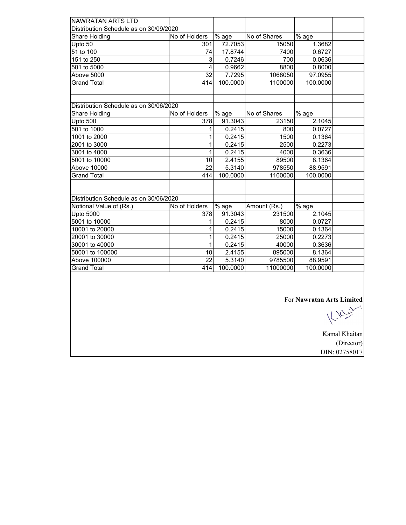| <b>NAWRATAN ARTS LTD</b>               |                          |          |              |          |  |
|----------------------------------------|--------------------------|----------|--------------|----------|--|
| Distribution Schedule as on 30/09/2020 |                          |          |              |          |  |
| Share Holding                          | No of Holders            | % age    | No of Shares | % age    |  |
| Upto 50                                | 301                      | 72.7053  | 15050        | 1.3682   |  |
| 51 to 100                              | 74                       | 17.8744  | 7400         | 0.6727   |  |
| 151 to 250                             | 3                        | 0.7246   | 700          | 0.0636   |  |
| 501 to 5000                            | $\overline{\mathcal{L}}$ | 0.9662   | 8800         | 0.8000   |  |
| Above 5000                             | 32                       | 7.7295   | 1068050      | 97.0955  |  |
| <b>Grand Total</b>                     | 414                      | 100.0000 | 1100000      | 100.0000 |  |
|                                        |                          |          |              |          |  |
|                                        |                          |          |              |          |  |
| Distribution Schedule as on 30/06/2020 |                          |          |              |          |  |
| Share Holding                          | No of Holders            | % age    | No of Shares | % age    |  |
| Upto 500                               | 378                      | 91.3043  | 23150        | 2.1045   |  |
| 501 to 1000                            | 1                        | 0.2415   | 800          | 0.0727   |  |
| 1001 to 2000                           | 1                        | 0.2415   | 1500         | 0.1364   |  |
| 2001 to 3000                           | 1                        | 0.2415   | 2500         | 0.2273   |  |
| 3001 to 4000                           | 1                        | 0.2415   | 4000         | 0.3636   |  |
| 5001 to 10000                          | 10                       | 2.4155   | 89500        | 8.1364   |  |
| Above 10000                            | $\overline{22}$          | 5.3140   | 978550       | 88.9591  |  |
| <b>Grand Total</b>                     | 414                      | 100.0000 | 1100000      | 100.0000 |  |
|                                        |                          |          |              |          |  |
|                                        |                          |          |              |          |  |
| Distribution Schedule as on 30/06/2020 |                          |          |              |          |  |
| Notional Value of (Rs.)                | No of Holders            | % age    | Amount (Rs.) | % age    |  |
| <b>Upto 5000</b>                       | 378                      | 91.3043  | 231500       | 2.1045   |  |
| 5001 to 10000                          | 1                        | 0.2415   | 8000         | 0.0727   |  |
| 10001 to 20000                         | 1                        | 0.2415   | 15000        | 0.1364   |  |
| 20001 to 30000                         | 1                        | 0.2415   | 25000        | 0.2273   |  |
| 30001 to 40000                         | 1                        | 0.2415   | 40000        | 0.3636   |  |
| 50001 to 100000                        | 10                       | 2.4155   | 895000       | 8.1364   |  |
| Above 100000                           | 22                       | 5.3140   | 9785500      | 88.9591  |  |
| <b>Grand Total</b>                     | 414                      | 100.0000 | 11000000     | 100.0000 |  |
|                                        |                          |          |              |          |  |

For **Nawratan Arts Limited**<br> $\bigcup_{k} \bigcup_{k} \bigcup_{k} \bigcup_{k} \bigcup_{k} \bigcup_{k} \bigcup_{k} \bigcup_{k} \bigcup_{k} \bigcup_{k} \bigcup_{k} \bigcup_{k} \bigcup_{k} \bigcup_{k} \bigcup_{k} \bigcup_{k} \bigcup_{k} \bigcup_{k} \bigcup_{k} \bigcup_{k} \bigcup_{k} \bigcup_{k} \bigcup_{k} \bigcup_{k} \bigcup_{k} \bigcup_{k} \bigcup_{k} \bigcup_{k} \bigcup_{k} \bigcup_{k} \bigcup_{k} \bigcup_{k} \$